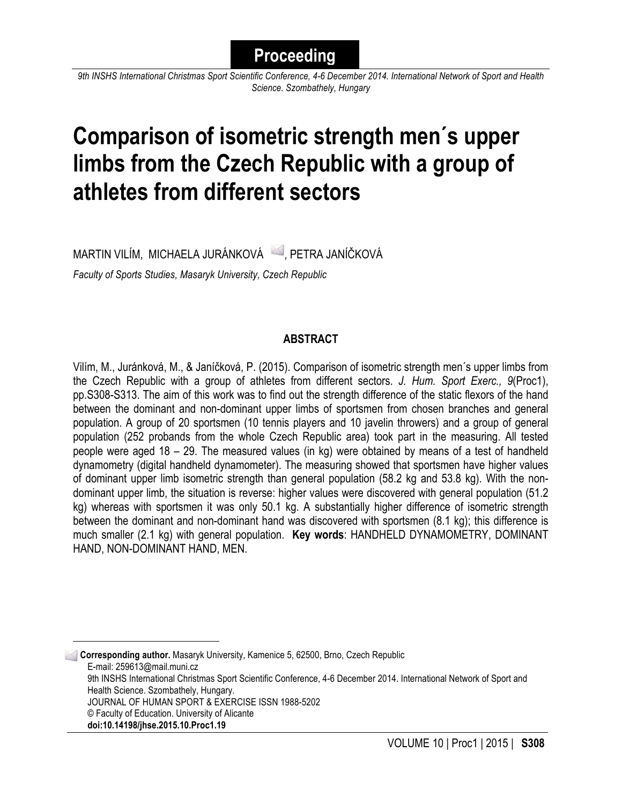# **Proceeding**

*9th INSHS International Christmas Sport Scientific Conference, 4-6 December 2014. International Network of Sport and Health Science. Szombathely, Hungary*

# **Comparison of isometric strength men´s upper limbs from the Czech Republic with a group of athletes from different sectors**

MARTIN VILÍM, MICHAELA JURÁNKOVÁ 4. PETRA JANÍČKOVÁ

*Faculty of Sports Studies, Masaryk University, Czech Republic*

# **ABSTRACT**

Vilím, M., Juránková, M., & Janíčková, P. (2015). Comparison of isometric strength men´s upper limbs from the Czech Republic with a group of athletes from different sectors. *J. Hum. Sport Exerc., 9*(Proc1), pp.S308-S313. The aim of this work was to find out the strength difference of the static flexors of the hand between the dominant and non-dominant upper limbs of sportsmen from chosen branches and general population. A group of 20 sportsmen (10 tennis players and 10 javelin throwers) and a group of general population (252 probands from the whole Czech Republic area) took part in the measuring. All tested people were aged 18 – 29. The measured values (in kg) were obtained by means of a test of handheld dynamometry (digital handheld dynamometer). The measuring showed that sportsmen have higher values of dominant upper limb isometric strength than general population (58.2 kg and 53.8 kg). With the nondominant upper limb, the situation is reverse: higher values were discovered with general population (51.2 kg) whereas with sportsmen it was only 50.1 kg. A substantially higher difference of isometric strength between the dominant and non-dominant hand was discovered with sportsmen (8.1 kg); this difference is much smaller (2.1 kg) with general population. **Key words**: HANDHELD DYNAMOMETRY, DOMINANT HAND, NON-DOMINANT HAND, MEN.

**1 Corresponding author.** Masaryk University, Kamenice 5, 62500, Brno, Czech Republic E-mail: 259613@mail.muni.cz 9th INSHS International Christmas Sport Scientific Conference, 4-6 December 2014. International Network of Sport and Health Science. Szombathely, Hungary. JOURNAL OF HUMAN SPORT & EXERCISE ISSN 1988-5202 © Faculty of Education. University of Alicante **doi:10.14198/jhse.2015.10.Proc1.19**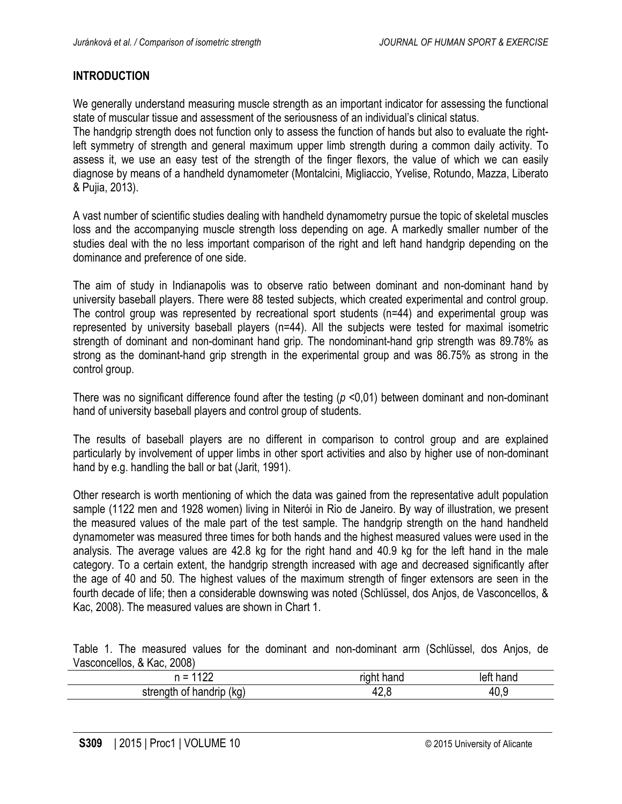# **INTRODUCTION**

We generally understand measuring muscle strength as an important indicator for assessing the functional state of muscular tissue and assessment of the seriousness of an individual's clinical status.

The handgrip strength does not function only to assess the function of hands but also to evaluate the rightleft symmetry of strength and general maximum upper limb strength during a common daily activity. To assess it, we use an easy test of the strength of the finger flexors, the value of which we can easily diagnose by means of a handheld dynamometer (Montalcini, Migliaccio, Yvelise, Rotundo, Mazza, Liberato & Pujia, 2013).

A vast number of scientific studies dealing with handheld dynamometry pursue the topic of skeletal muscles loss and the accompanying muscle strength loss depending on age. A markedly smaller number of the studies deal with the no less important comparison of the right and left hand handgrip depending on the dominance and preference of one side.

The aim of study in Indianapolis was to observe ratio between dominant and non-dominant hand by university baseball players. There were 88 tested subjects, which created experimental and control group. The control group was represented by recreational sport students (n=44) and experimental group was represented by university baseball players (n=44). All the subjects were tested for maximal isometric strength of dominant and non-dominant hand grip. The nondominant-hand grip strength was 89.78% as strong as the dominant-hand grip strength in the experimental group and was 86.75% as strong in the control group.

There was no significant difference found after the testing (*p* <0,01) between dominant and non-dominant hand of university baseball players and control group of students.

The results of baseball players are no different in comparison to control group and are explained particularly by involvement of upper limbs in other sport activities and also by higher use of non-dominant hand by e.g. handling the ball or bat (Jarit, 1991).

Other research is worth mentioning of which the data was gained from the representative adult population sample (1122 men and 1928 women) living in Niterói in Rio de Janeiro. By way of illustration, we present the measured values of the male part of the test sample. The handgrip strength on the hand handheld dynamometer was measured three times for both hands and the highest measured values were used in the analysis. The average values are 42.8 kg for the right hand and 40.9 kg for the left hand in the male category. To a certain extent, the handgrip strength increased with age and decreased significantly after the age of 40 and 50. The highest values of the maximum strength of finger extensors are seen in the fourth decade of life; then a considerable downswing was noted (Schlüssel, dos Anjos, de Vasconcellos, & Kac, 2008). The measured values are shown in Chart 1.

Table 1. The measured values for the dominant and non-dominant arm (Schlüssel, dos Anjos, de Vasconcellos, & Kac, 2008)

| $\sim$<br>$\sim$<br>--                 | rıc<br>----<br>ю | $-1$<br>יוםווג |
|----------------------------------------|------------------|----------------|
| (ka<br>strength<br>$-1$<br>m<br>nanuni | T4.V             | 40.չ           |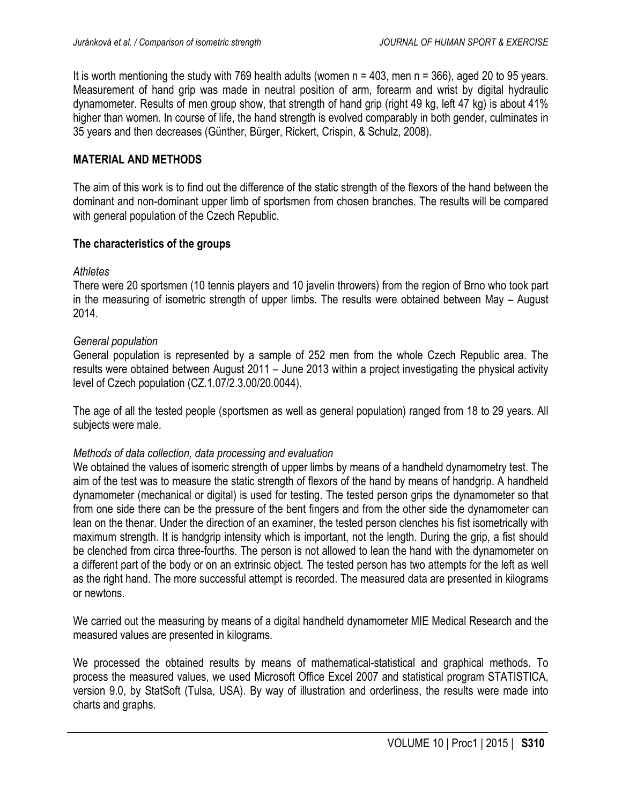It is worth mentioning the study with 769 health adults (women  $n = 403$ , men  $n = 366$ ), aged 20 to 95 years. Measurement of hand grip was made in neutral position of arm, forearm and wrist by digital hydraulic dynamometer. Results of men group show, that strength of hand grip (right 49 kg, left 47 kg) is about 41% higher than women. In course of life, the hand strength is evolved comparably in both gender, culminates in 35 years and then decreases (Günther, Bürger, Rickert, Crispin, & Schulz, 2008).

#### **MATERIAL AND METHODS**

The aim of this work is to find out the difference of the static strength of the flexors of the hand between the dominant and non-dominant upper limb of sportsmen from chosen branches. The results will be compared with general population of the Czech Republic.

#### **The characteristics of the groups**

#### *Athletes*

There were 20 sportsmen (10 tennis players and 10 javelin throwers) from the region of Brno who took part in the measuring of isometric strength of upper limbs. The results were obtained between May – August 2014.

#### *General population*

General population is represented by a sample of 252 men from the whole Czech Republic area. The results were obtained between August 2011 – June 2013 within a project investigating the physical activity level of Czech population (CZ.1.07/2.3.00/20.0044).

The age of all the tested people (sportsmen as well as general population) ranged from 18 to 29 years. All subjects were male.

#### *Methods of data collection, data processing and evaluation*

We obtained the values of isomeric strength of upper limbs by means of a handheld dynamometry test. The aim of the test was to measure the static strength of flexors of the hand by means of handgrip. A handheld dynamometer (mechanical or digital) is used for testing. The tested person grips the dynamometer so that from one side there can be the pressure of the bent fingers and from the other side the dynamometer can lean on the thenar. Under the direction of an examiner, the tested person clenches his fist isometrically with maximum strength. It is handgrip intensity which is important, not the length. During the grip, a fist should be clenched from circa three-fourths. The person is not allowed to lean the hand with the dynamometer on a different part of the body or on an extrinsic object. The tested person has two attempts for the left as well as the right hand. The more successful attempt is recorded. The measured data are presented in kilograms or newtons.

We carried out the measuring by means of a digital handheld dynamometer MIE Medical Research and the measured values are presented in kilograms.

We processed the obtained results by means of mathematical-statistical and graphical methods. To process the measured values, we used Microsoft Office Excel 2007 and statistical program STATISTICA, version 9.0, by StatSoft (Tulsa, USA). By way of illustration and orderliness, the results were made into charts and graphs.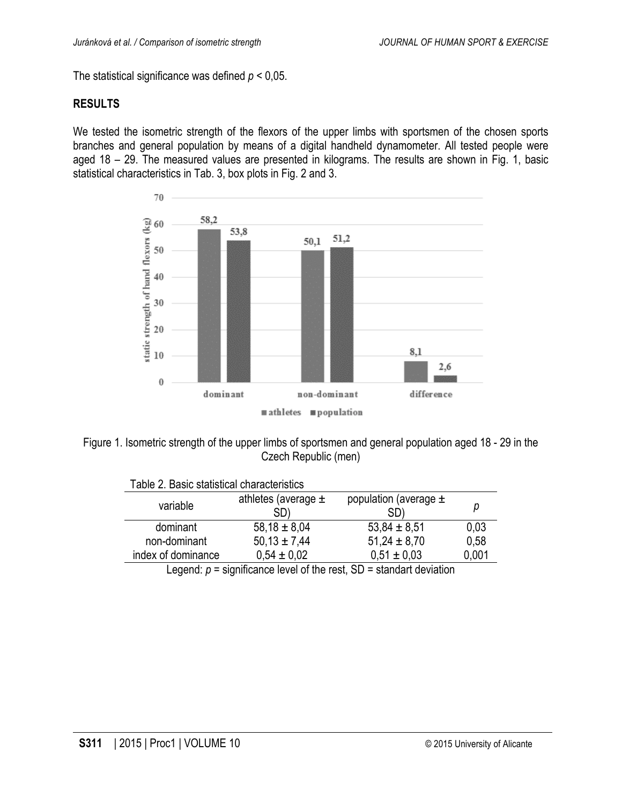The statistical significance was defined  $p < 0.05$ .

#### **RESULTS**

We tested the isometric strength of the flexors of the upper limbs with sportsmen of the chosen sports branches and general population by means of a digital handheld dynamometer. All tested people were aged 18 – 29. The measured values are presented in kilograms. The results are shown in Fig. 1, basic statistical characteristics in Tab. 3, box plots in Fig. 2 and 3.



Figure 1. Isometric strength of the upper limbs of sportsmen and general population aged 18 - 29 in the Czech Republic (men)

| able 2. Basic statistical characteristics |                                |                                  |       |
|-------------------------------------------|--------------------------------|----------------------------------|-------|
| variable                                  | athletes (average $\pm$<br>SD) | population (average $\pm$<br>SD) | р     |
| dominant                                  | $58,18 \pm 8,04$               | $53,84 \pm 8,51$                 | 0,03  |
| non-dominant                              | $50,13 \pm 7,44$               | $51,24 \pm 8,70$                 | 0,58  |
| index of dominance                        | $0.54 \pm 0.02$                | $0.51 \pm 0.03$                  | 0,001 |
|                                           | <br>.                          | $\sim$ $\sim$ $\sim$             |       |

Table 2. Basic statistical characteristics

Legend:  $p =$  significance level of the rest,  $SD =$  standart deviation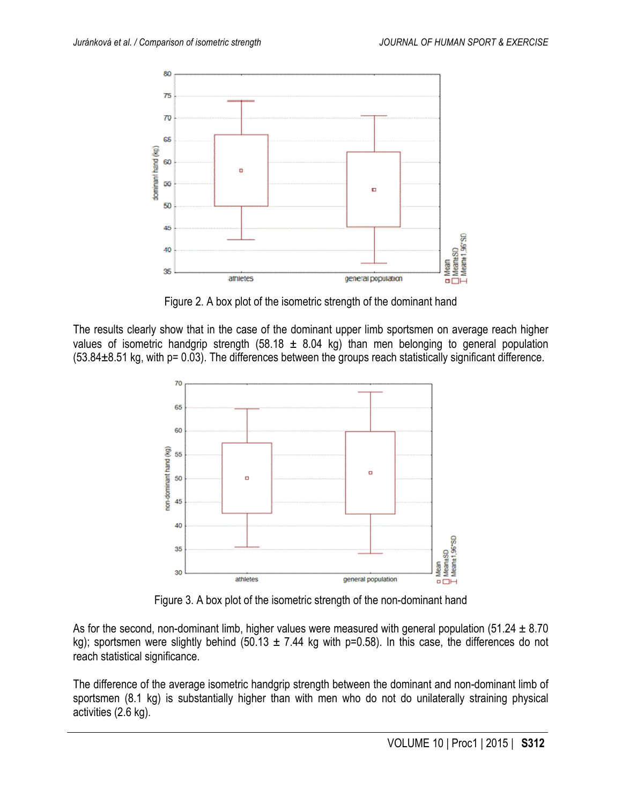

Figure 2. A box plot of the isometric strength of the dominant hand

The results clearly show that in the case of the dominant upper limb sportsmen on average reach higher values of isometric handgrip strength (58.18  $\pm$  8.04 kg) than men belonging to general population  $(53.84±8.51$  kg, with p= 0.03). The differences between the groups reach statistically significant difference.



Figure 3. A box plot of the isometric strength of the non-dominant hand

As for the second, non-dominant limb, higher values were measured with general population (51.24  $\pm$  8.70 kg); sportsmen were slightly behind (50.13  $\pm$  7.44 kg with p=0.58). In this case, the differences do not reach statistical significance.

The difference of the average isometric handgrip strength between the dominant and non-dominant limb of sportsmen (8.1 kg) is substantially higher than with men who do not do unilaterally straining physical activities (2.6 kg).